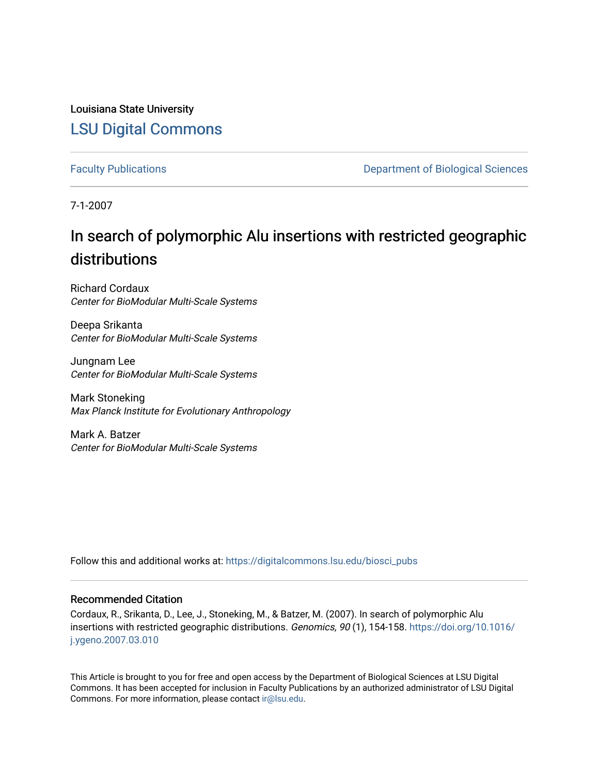Louisiana State University [LSU Digital Commons](https://digitalcommons.lsu.edu/)

[Faculty Publications](https://digitalcommons.lsu.edu/biosci_pubs) **Exercise 2 and Table 2 and Table 2 and Table 2 and Table 2 and Table 2 and Table 2 and Table 2 and Table 2 and Table 2 and Table 2 and Table 2 and Table 2 and Table 2 and Table 2 and Table 2 and Table** 

7-1-2007

# In search of polymorphic Alu insertions with restricted geographic distributions

Richard Cordaux Center for BioModular Multi-Scale Systems

Deepa Srikanta Center for BioModular Multi-Scale Systems

Jungnam Lee Center for BioModular Multi-Scale Systems

Mark Stoneking Max Planck Institute for Evolutionary Anthropology

Mark A. Batzer Center for BioModular Multi-Scale Systems

Follow this and additional works at: [https://digitalcommons.lsu.edu/biosci\\_pubs](https://digitalcommons.lsu.edu/biosci_pubs?utm_source=digitalcommons.lsu.edu%2Fbiosci_pubs%2F174&utm_medium=PDF&utm_campaign=PDFCoverPages)

# Recommended Citation

Cordaux, R., Srikanta, D., Lee, J., Stoneking, M., & Batzer, M. (2007). In search of polymorphic Alu insertions with restricted geographic distributions. Genomics, 90 (1), 154-158. [https://doi.org/10.1016/](https://doi.org/10.1016/j.ygeno.2007.03.010) [j.ygeno.2007.03.010](https://doi.org/10.1016/j.ygeno.2007.03.010)

This Article is brought to you for free and open access by the Department of Biological Sciences at LSU Digital Commons. It has been accepted for inclusion in Faculty Publications by an authorized administrator of LSU Digital Commons. For more information, please contact [ir@lsu.edu](mailto:ir@lsu.edu).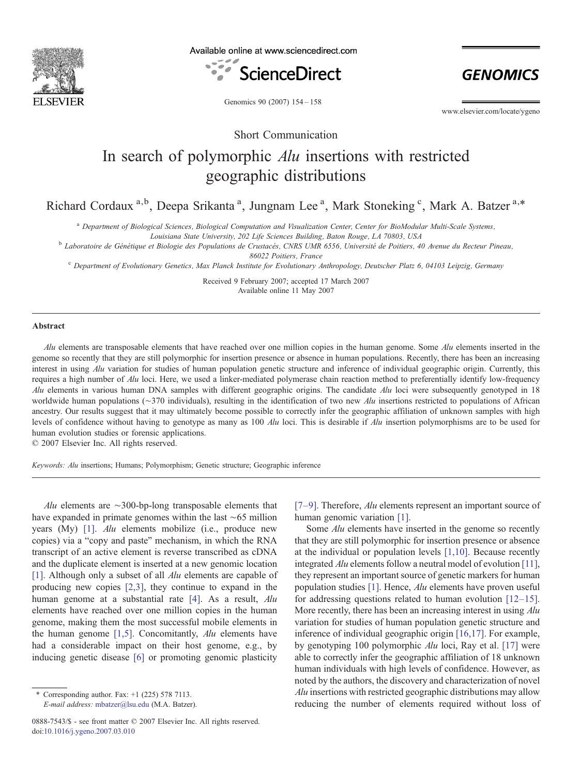

Available online at www.sciencedirect.com



**GENOMICS** 

Genomics 90 (2007) 154–158

www.elsevier.com/locate/ygeno

Short Communication

# In search of polymorphic Alu insertions with restricted geographic distributions

Richard Cordaux<sup>a,b</sup>, Deepa Srikanta<sup>a</sup>, Jungnam Lee<sup>a</sup>, Mark Stoneking<sup>c</sup>, Mark A. Batzer<sup>a,\*</sup>

<sup>a</sup> Department of Biological Sciences, Biological Computation and Visualization Center, Center for BioModular Multi-Scale Systems,

Louisiana State University, 202 Life Sciences Building, Baton Rouge, LA 70803, USA <sup>b</sup> Laboratoire de Génétique et Biologie des Populations de Crustacés, CNRS UMR 6556, Université de Poitiers, 40 Avenue du Recteur Pineau,

86022 Poitiers, France

<sup>c</sup> Department of Evolutionary Genetics, Max Planck Institute for Evolutionary Anthropology, Deutscher Platz 6, 04103 Leipzig, Germany

Received 9 February 2007; accepted 17 March 2007 Available online 11 May 2007

#### Abstract

Alu elements are transposable elements that have reached over one million copies in the human genome. Some  $\Delta l$ u elements inserted in the genome so recently that they are still polymorphic for insertion presence or absence in human populations. Recently, there has been an increasing interest in using Alu variation for studies of human population genetic structure and inference of individual geographic origin. Currently, this requires a high number of Alu loci. Here, we used a linker-mediated polymerase chain reaction method to preferentially identify low-frequency Alu elements in various human DNA samples with different geographic origins. The candidate Alu loci were subsequently genotyped in 18 worldwide human populations (∼370 individuals), resulting in the identification of two new Alu insertions restricted to populations of African ancestry. Our results suggest that it may ultimately become possible to correctly infer the geographic affiliation of unknown samples with high levels of confidence without having to genotype as many as 100 Alu loci. This is desirable if Alu insertion polymorphisms are to be used for human evolution studies or forensic applications.

© 2007 Elsevier Inc. All rights reserved.

Keywords: Alu insertions; Humans; Polymorphism; Genetic structure; Geographic inference

Alu elements are ∼300-bp-long transposable elements that have expanded in primate genomes within the last ∼65 million years (My) [\[1\].](#page-5-0) Alu elements mobilize (i.e., produce new copies) via a "copy and paste" mechanism, in which the RNA transcript of an active element is reverse transcribed as cDNA and the duplicate element is inserted at a new genomic location [\[1\]](#page-5-0). Although only a subset of all *Alu* elements are capable of producing new copies [\[2,3\]](#page-5-0), they continue to expand in the human genome at a substantial rate [\[4\]](#page-5-0). As a result, Alu elements have reached over one million copies in the human genome, making them the most successful mobile elements in the human genome  $[1,5]$ . Concomitantly, Alu elements have had a considerable impact on their host genome, e.g., by inducing genetic disease [\[6\]](#page-5-0) or promoting genomic plasticity

 $[7-9]$  $[7-9]$ . Therefore, *Alu* elements represent an important source of human genomic variation [\[1\]](#page-5-0).

Some *Alu* elements have inserted in the genome so recently that they are still polymorphic for insertion presence or absence at the individual or population levels [\[1,10\].](#page-5-0) Because recently integrated Alu elements follow a neutral model of evolution [\[11\]](#page-5-0), they represent an important source of genetic markers for human population studies [\[1\]](#page-5-0). Hence, Alu elements have proven useful for addressing questions related to human evolution [\[12](#page-5-0)–15]. More recently, there has been an increasing interest in using Alu variation for studies of human population genetic structure and inference of individual geographic origin [\[16,17\].](#page-5-0) For example, by genotyping 100 polymorphic Alu loci, Ray et al. [\[17\]](#page-5-0) were able to correctly infer the geographic affiliation of 18 unknown human individuals with high levels of confidence. However, as noted by the authors, the discovery and characterization of novel Alu insertions with restricted geographic distributions may allow reducing the number of elements required without loss of

 $*$  Corresponding author. Fax:  $+1$  (225) 578 7113. E-mail address: [mbatzer@lsu.edu](mailto:mbatzer@lsu.edu) (M.A. Batzer).

<sup>0888-7543/\$ -</sup> see front matter © 2007 Elsevier Inc. All rights reserved. doi:[10.1016/j.ygeno.2007.03.010](http://dx.doi.org/10.1016/j.ygeno.2007.03.010)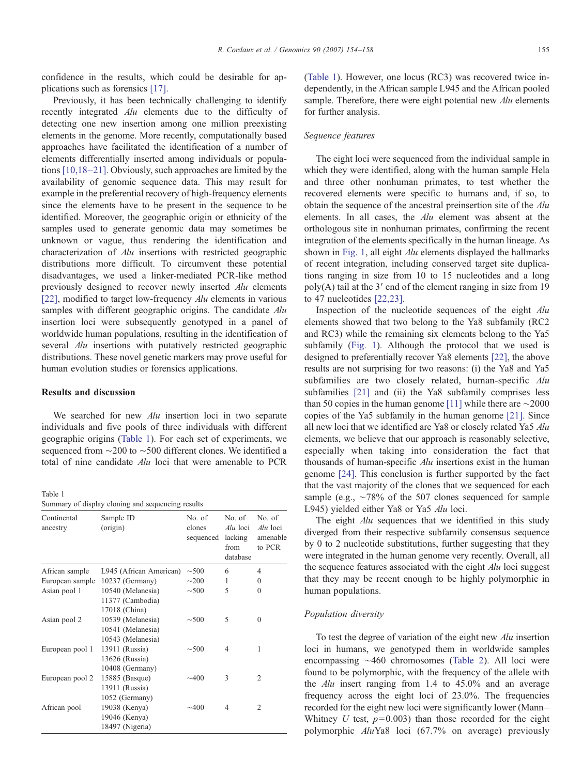<span id="page-2-0"></span>confidence in the results, which could be desirable for applications such as forensics [\[17\]](#page-5-0).

Previously, it has been technically challenging to identify recently integrated Alu elements due to the difficulty of detecting one new insertion among one million preexisting elements in the genome. More recently, computationally based approaches have facilitated the identification of a number of elements differentially inserted among individuals or populations [\[10,18](#page-5-0)–21]. Obviously, such approaches are limited by the availability of genomic sequence data. This may result for example in the preferential recovery of high-frequency elements since the elements have to be present in the sequence to be identified. Moreover, the geographic origin or ethnicity of the samples used to generate genomic data may sometimes be unknown or vague, thus rendering the identification and characterization of Alu insertions with restricted geographic distributions more difficult. To circumvent these potential disadvantages, we used a linker-mediated PCR-like method previously designed to recover newly inserted Alu elements [\[22\],](#page-5-0) modified to target low-frequency  $\Delta l u$  elements in various samples with different geographic origins. The candidate Alu insertion loci were subsequently genotyped in a panel of worldwide human populations, resulting in the identification of several *Alu* insertions with putatively restricted geographic distributions. These novel genetic markers may prove useful for human evolution studies or forensics applications.

### Results and discussion

We searched for new *Alu* insertion loci in two separate individuals and five pools of three individuals with different geographic origins (Table 1). For each set of experiments, we sequenced from ∼200 to ∼500 different clones. We identified a total of nine candidate Alu loci that were amenable to PCR

Table 1

Summary of display cloning and sequencing results

| Continental<br>ancestry | Sample ID<br>(origin)                                       | No. of<br>clones<br>sequenced | No. of<br>Alu loci<br>lacking<br>from<br>database | No. of<br>Alu loci<br>amenable<br>to PCR |
|-------------------------|-------------------------------------------------------------|-------------------------------|---------------------------------------------------|------------------------------------------|
| African sample          | L945 (African American)                                     | $\sim$ 500                    | 6                                                 | $\overline{4}$                           |
| European sample         | 10237 (Germany)                                             | $\sim$ 200                    | 1                                                 | 0                                        |
| Asian pool 1            | 10540 (Melanesia)<br>11377 (Cambodia)                       | $\sim$ 500                    | 5                                                 | $\theta$                                 |
|                         | 17018 (China)                                               |                               |                                                   |                                          |
| Asian pool 2            | 10539 (Melanesia)<br>10541 (Melanesia)<br>10543 (Melanesia) | $\sim$ 500                    | 5                                                 | 0                                        |
| European pool 1         | 13911 (Russia)<br>13626 (Russia)<br>10408 (Germany)         | $\sim$ 500                    | 4                                                 | 1                                        |
| European pool 2         | 15885 (Basque)<br>13911 (Russia)<br>1052 (Germany)          | $\sim$ 400                    | 3                                                 | 2                                        |
| African pool            | 19038 (Kenya)<br>19046 (Kenya)<br>18497 (Nigeria)           | ~100                          | 4                                                 | 2                                        |

(Table 1). However, one locus (RC3) was recovered twice independently, in the African sample L945 and the African pooled sample. Therefore, there were eight potential new Alu elements for further analysis.

#### Sequence features

The eight loci were sequenced from the individual sample in which they were identified, along with the human sample Hela and three other nonhuman primates, to test whether the recovered elements were specific to humans and, if so, to obtain the sequence of the ancestral preinsertion site of the Alu elements. In all cases, the Alu element was absent at the orthologous site in nonhuman primates, confirming the recent integration of the elements specifically in the human lineage. As shown in [Fig. 1](#page-3-0), all eight *Alu* elements displayed the hallmarks of recent integration, including conserved target site duplications ranging in size from 10 to 15 nucleotides and a long poly(A) tail at the 3′ end of the element ranging in size from 19 to 47 nucleotides [\[22,23\]](#page-5-0).

Inspection of the nucleotide sequences of the eight Alu elements showed that two belong to the Ya8 subfamily (RC2 and RC3) while the remaining six elements belong to the Ya5 subfamily ([Fig. 1\)](#page-3-0). Although the protocol that we used is designed to preferentially recover Ya8 elements [\[22\]](#page-5-0), the above results are not surprising for two reasons: (i) the Ya8 and Ya5 subfamilies are two closely related, human-specific Alu subfamilies [\[21\]](#page-5-0) and (ii) the Ya8 subfamily comprises less than 50 copies in the human genome [\[11\]](#page-5-0) while there are ∼2000 copies of the Ya5 subfamily in the human genome [\[21\]](#page-5-0). Since all new loci that we identified are Ya8 or closely related Ya5 Alu elements, we believe that our approach is reasonably selective, especially when taking into consideration the fact that thousands of human-specific  $Alu$  insertions exist in the human genome [\[24\].](#page-5-0) This conclusion is further supported by the fact that the vast majority of the clones that we sequenced for each sample (e.g., ∼78% of the 507 clones sequenced for sample L945) yielded either Ya8 or Ya5 Alu loci.

The eight *Alu* sequences that we identified in this study diverged from their respective subfamily consensus sequence by 0 to 2 nucleotide substitutions, further suggesting that they were integrated in the human genome very recently. Overall, all the sequence features associated with the eight  $Alu$  loci suggest that they may be recent enough to be highly polymorphic in human populations.

## Population diversity

To test the degree of variation of the eight new Alu insertion loci in humans, we genotyped them in worldwide samples encompassing ∼460 chromosomes [\(Table 2](#page-3-0)). All loci were found to be polymorphic, with the frequency of the allele with the Alu insert ranging from 1.4 to 45.0% and an average frequency across the eight loci of 23.0%. The frequencies recorded for the eight new loci were significantly lower (Mann– Whitney  $U$  test,  $p=0.003$ ) than those recorded for the eight polymorphic AluYa8 loci (67.7% on average) previously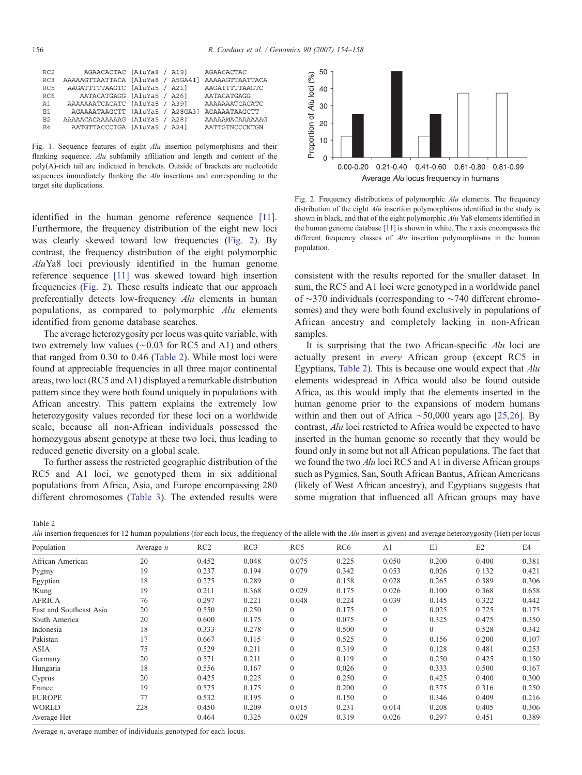<span id="page-3-0"></span>

| RC2             | AGAACACTAC [AluYa8 / A19]         |  | AGAACACTAC      |
|-----------------|-----------------------------------|--|-----------------|
| RC3             | AAAAAGTTAATTACA [AluYa8 / A5GA41] |  | AAAAAGTTAATTACA |
| RC5             | AAGATTTTTAAGTC [AluYa5 / A21]     |  | AAGATTTTTAAGTC  |
| RC <sub>6</sub> | AATACATGAGG [AluYa5 / A26]        |  | AATACATGAGG     |
| A1              | AAAAAAATCACATC [AluYa5 / A39]     |  | AAAAAAATCACATC  |
| <b>R1</b>       | AGAAAATAAGCTT [AluYa5 / A28GA3]   |  | AGAAAATAAGCTT   |
| E.2             | AAAAACACAAAAAAG [AluYa5 / A28]    |  | AAAAAMACAAAAAAG |
| E4              | AATGTTACCCTGA [AluYa5 / A24]      |  | AATTGTNCCCNTGN  |

Fig. 1. Sequence features of eight Alu insertion polymorphisms and their flanking sequence. Alu subfamily affiliation and length and content of the poly(A)-rich tail are indicated in brackets. Outside of brackets are nucleotide sequences immediately flanking the *Alu* insertions and corresponding to the target site duplications.

identified in the human genome reference sequence [\[11\]](#page-5-0). Furthermore, the frequency distribution of the eight new loci was clearly skewed toward low frequencies (Fig. 2). By contrast, the frequency distribution of the eight polymorphic AluYa8 loci previously identified in the human genome reference sequence [\[11\]](#page-5-0) was skewed toward high insertion frequencies (Fig. 2). These results indicate that our approach preferentially detects low-frequency Alu elements in human populations, as compared to polymorphic Alu elements identified from genome database searches.

The average heterozygosity per locus was quite variable, with two extremely low values (∼0.03 for RC5 and A1) and others that ranged from 0.30 to 0.46 (Table 2). While most loci were found at appreciable frequencies in all three major continental areas, two loci (RC5 and A1) displayed a remarkable distribution pattern since they were both found uniquely in populations with African ancestry. This pattern explains the extremely low heterozygosity values recorded for these loci on a worldwide scale, because all non-African individuals possessed the homozygous absent genotype at these two loci, thus leading to reduced genetic diversity on a global scale.

To further assess the restricted geographic distribution of the RC5 and A1 loci, we genotyped them in six additional populations from Africa, Asia, and Europe encompassing 280 different chromosomes [\(Table 3\)](#page-4-0). The extended results were



Fig. 2. Frequency distributions of polymorphic Alu elements. The frequency distribution of the eight Alu insertion polymorphisms identified in the study is shown in black, and that of the eight polymorphic Alu Ya8 elements identified in the human genome database  $[11]$  is shown in white. The x axis encompasses the different frequency classes of Alu insertion polymorphisms in the human population.

consistent with the results reported for the smaller dataset. In sum, the RC5 and A1 loci were genotyped in a worldwide panel of ∼370 individuals (corresponding to ∼740 different chromosomes) and they were both found exclusively in populations of African ancestry and completely lacking in non-African samples.

It is surprising that the two African-specific  $\Delta l$ u loci are actually present in every African group (except RC5 in Egyptians, Table 2). This is because one would expect that Alu elements widespread in Africa would also be found outside Africa, as this would imply that the elements inserted in the human genome prior to the expansions of modern humans within and then out of Africa ∼50,000 years ago [\[25,26\]](#page-5-0). By contrast, Alu loci restricted to Africa would be expected to have inserted in the human genome so recently that they would be found only in some but not all African populations. The fact that we found the two Alu loci RC5 and A1 in diverse African groups such as Pygmies, San, South African Bantus, African Americans (likely of West African ancestry), and Egyptians suggests that some migration that influenced all African groups may have

Table 2

Alu insertion frequencies for 12 human populations (for each locus, the frequency of the allele with the Alu insert is given) and average heterozygosity (Het) per locus

| Population              | Average $n$ | RC2   | RC3   | RC5            | RC <sub>6</sub> | A <sub>1</sub> | E1       | E2    | E4    |
|-------------------------|-------------|-------|-------|----------------|-----------------|----------------|----------|-------|-------|
| African American        | 20          | 0.452 | 0.048 | 0.075          | 0.225           | 0.050          | 0.200    | 0.400 | 0.381 |
| Pygmy                   | 19          | 0.237 | 0.194 | 0.079          | 0.342           | 0.053          | 0.026    | 0.132 | 0.421 |
| Egyptian                | 18          | 0.275 | 0.289 | $\overline{0}$ | 0.158           | 0.028          | 0.265    | 0.389 | 0.306 |
| !Kung                   | 19          | 0.211 | 0.368 | 0.029          | 0.175           | 0.026          | 0.100    | 0.368 | 0.658 |
| AFRICA                  | 76          | 0.297 | 0.221 | 0.048          | 0.224           | 0.039          | 0.145    | 0.322 | 0.442 |
| East and Southeast Asia | 20          | 0.550 | 0.250 | $\overline{0}$ | 0.175           | $\mathbf{0}$   | 0.025    | 0.725 | 0.175 |
| South America           | 20          | 0.600 | 0.175 | $\mathbf{0}$   | 0.075           | $\mathbf{0}$   | 0.325    | 0.475 | 0.350 |
| Indonesia               | 18          | 0.333 | 0.278 | $\mathbf{0}$   | 0.500           | $\Omega$       | $\Omega$ | 0.528 | 0.342 |
| Pakistan                | 17          | 0.667 | 0.115 | $\mathbf{0}$   | 0.525           | $\mathbf{0}$   | 0.156    | 0.200 | 0.107 |
| ASIA                    | 75          | 0.529 | 0.211 | $\mathbf{0}$   | 0.319           | $\mathbf{0}$   | 0.128    | 0.481 | 0.253 |
| Germany                 | 20          | 0.571 | 0.211 | $\mathbf{0}$   | 0.119           | $\Omega$       | 0.250    | 0.425 | 0.150 |
| Hungaria                | 18          | 0.556 | 0.167 | $\mathbf{0}$   | 0.026           | $\Omega$       | 0.333    | 0.500 | 0.167 |
| Cyprus                  | 20          | 0.425 | 0.225 | $\mathbf{0}$   | 0.250           | $\Omega$       | 0.425    | 0.400 | 0.300 |
| France                  | 19          | 0.575 | 0.175 | $\mathbf{0}$   | 0.200           | $\mathbf{0}$   | 0.375    | 0.316 | 0.250 |
| <b>EUROPE</b>           | 77          | 0.532 | 0.195 | $\mathbf{0}$   | 0.150           | $\Omega$       | 0.346    | 0.409 | 0.216 |
| <b>WORLD</b>            | 228         | 0.450 | 0.209 | 0.015          | 0.231           | 0.014          | 0.208    | 0.405 | 0.306 |
| Average Het             |             | 0.464 | 0.325 | 0.029          | 0.319           | 0.026          | 0.297    | 0.451 | 0.389 |
|                         |             |       |       |                |                 |                |          |       |       |

Average *n*, average number of individuals genotyped for each locus.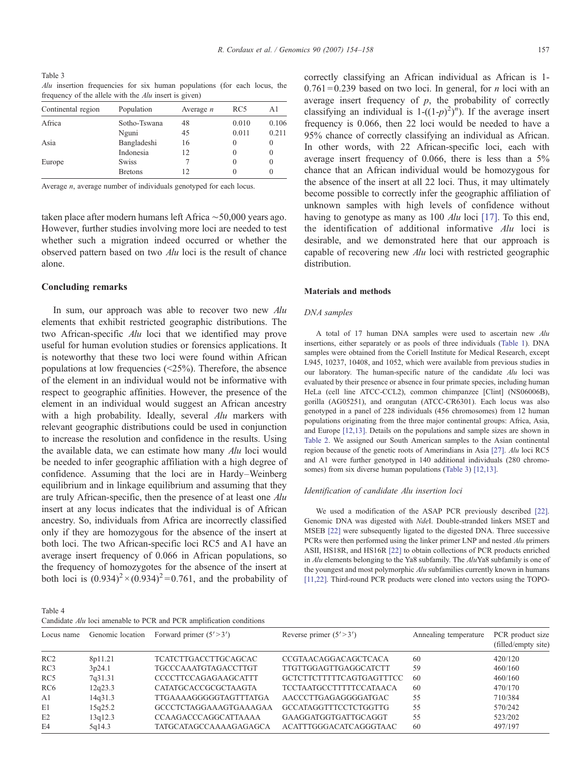<span id="page-4-0"></span>Table 3 Alu insertion frequencies for six human populations (for each locus, the frequency of the allele with the  $\Delta l u$  insert is given)

| Continental region | Population     | Average $n$ | RC5      | A1    |
|--------------------|----------------|-------------|----------|-------|
| Africa             | Sotho-Tswana   | 48          | 0.010    | 0.106 |
|                    | Nguni          | 45          | 0.011    | 0.211 |
| Asia               | Bangladeshi    | 16          | 0        | 0     |
|                    | Indonesia      | 12          | 0        | 0     |
| Europe             | <b>Swiss</b>   |             | 0        | 0     |
|                    | <b>Bretons</b> | 12          | $\Omega$ | 0     |

Average n, average number of individuals genotyped for each locus.

taken place after modern humans left Africa ∼50,000 years ago. However, further studies involving more loci are needed to test whether such a migration indeed occurred or whether the observed pattern based on two Alu loci is the result of chance alone.

#### Concluding remarks

In sum, our approach was able to recover two new Alu elements that exhibit restricted geographic distributions. The two African-specific Alu loci that we identified may prove useful for human evolution studies or forensics applications. It is noteworthy that these two loci were found within African populations at low frequencies  $(\leq 25\%)$ . Therefore, the absence of the element in an individual would not be informative with respect to geographic affinities. However, the presence of the element in an individual would suggest an African ancestry with a high probability. Ideally, several Alu markers with relevant geographic distributions could be used in conjunction to increase the resolution and confidence in the results. Using the available data, we can estimate how many Alu loci would be needed to infer geographic affiliation with a high degree of confidence. Assuming that the loci are in Hardy–Weinberg equilibrium and in linkage equilibrium and assuming that they are truly African-specific, then the presence of at least one Alu insert at any locus indicates that the individual is of African ancestry. So, individuals from Africa are incorrectly classified only if they are homozygous for the absence of the insert at both loci. The two African-specific loci RC5 and A1 have an average insert frequency of 0.066 in African populations, so the frequency of homozygotes for the absence of the insert at both loci is  $(0.934)^2 \times (0.934)^2 = 0.761$ , and the probability of

Table 4

Candidate Alu loci amenable to PCR and PCR amplification conditions

correctly classifying an African individual as African is 1-  $0.761 = 0.239$  based on two loci. In general, for *n* loci with an average insert frequency of  $p$ , the probability of correctly classifying an individual is  $1-((1-p)^2)^n$ . If the average insert frequency is 0.066, then 22 loci would be needed to have a 95% chance of correctly classifying an individual as African. In other words, with 22 African-specific loci, each with average insert frequency of 0.066, there is less than a 5% chance that an African individual would be homozygous for the absence of the insert at all 22 loci. Thus, it may ultimately become possible to correctly infer the geographic affiliation of unknown samples with high levels of confidence without having to genotype as many as 100 Alu loci [\[17\]](#page-5-0). To this end, the identification of additional informative Alu loci is desirable, and we demonstrated here that our approach is capable of recovering new Alu loci with restricted geographic

#### Materials and methods

#### DNA samples

distribution.

A total of 17 human DNA samples were used to ascertain new Alu insertions, either separately or as pools of three individuals ([Table 1\)](#page-2-0). DNA samples were obtained from the Coriell Institute for Medical Research, except L945, 10237, 10408, and 1052, which were available from previous studies in our laboratory. The human-specific nature of the candidate Alu loci was evaluated by their presence or absence in four primate species, including human HeLa (cell line ATCC-CCL2), common chimpanzee [Clint] (NS06006B), gorilla (AG05251), and orangutan (ATCC-CR6301). Each locus was also genotyped in a panel of 228 individuals (456 chromosomes) from 12 human populations originating from the three major continental groups: Africa, Asia, and Europe [\[12,13\].](#page-5-0) Details on the populations and sample sizes are shown in [Table 2](#page-3-0). We assigned our South American samples to the Asian continental region because of the genetic roots of Amerindians in Asia [\[27\]](#page-5-0). Alu loci RC5 and A1 were further genotyped in 140 additional individuals (280 chromo-somes) from six diverse human populations (Table 3) [\[12,13\].](#page-5-0)

#### Identification of candidate Alu insertion loci

We used a modification of the ASAP PCR previously described [\[22\].](#page-5-0) Genomic DNA was digested with NdeI. Double-stranded linkers MSET and MSEB [\[22\]](#page-5-0) were subsequently ligated to the digested DNA. Three successive PCRs were then performed using the linker primer LNP and nested Alu primers ASII, HS18R, and HS16R [\[22\]](#page-5-0) to obtain collections of PCR products enriched in Alu elements belonging to the Ya8 subfamily. The AluYa8 subfamily is one of the youngest and most polymorphic Alu subfamilies currently known in humans [\[11,22\]](#page-5-0). Third-round PCR products were cloned into vectors using the TOPO-

| Locus name      | Genomic location | Forward primer $(5' > 3')$  | Reverse primer $(5' > 3')$     | Annealing temperature | PCR product size<br>(filled/empty site) |
|-----------------|------------------|-----------------------------|--------------------------------|-----------------------|-----------------------------------------|
| RC2             | 8p11.21          | <b>TCATCTTGACCTTGCAGCAC</b> | CCGTAACAGGACAGCTCACA           | 60                    | 420/120                                 |
| RC3             | 3p24.1           | <b>TGCCCAAATGTAGACCTTGT</b> | <b>TTGTTGGAGTTGAGGCATCTT</b>   | 59                    | 460/160                                 |
| RC5             | 7q31.31          | <b>CCCCTTCCAGAGAAGCATTT</b> | GCTCTTCTTTTTCAGTGAGTTTCC       | -60                   | 460/160                                 |
| RC <sub>6</sub> | 12q23.3          | CATATGCACCGCGCTAAGTA        | <b>TCCTAATGCCTTTTTCCATAACA</b> | 60                    | 470/170                                 |
| A1              | 14q31.3          | TTGAAAAGGGGGTAGTTTATGA      | AACCCTTGAGAGGGGATGAC           | 55                    | 710/384                                 |
| E1              | 15q25.2          | GCCCTCTAGGAAAGTGAAAGAA      | GCCATAGGTTTCCTCTGGTTG          | 55                    | 570/242                                 |
| E2              | 13q12.3          | <b>CCAAGACCCAGGCATTAAAA</b> | GAAGGATGGTGATTGCAGGT           | 55                    | 523/202                                 |
| E4              | 5q14.3           | TATGCATAGCCAAAAGAGAGCA      | ACATTTGGGACATCAGGGTAAC         | 60                    | 497/197                                 |